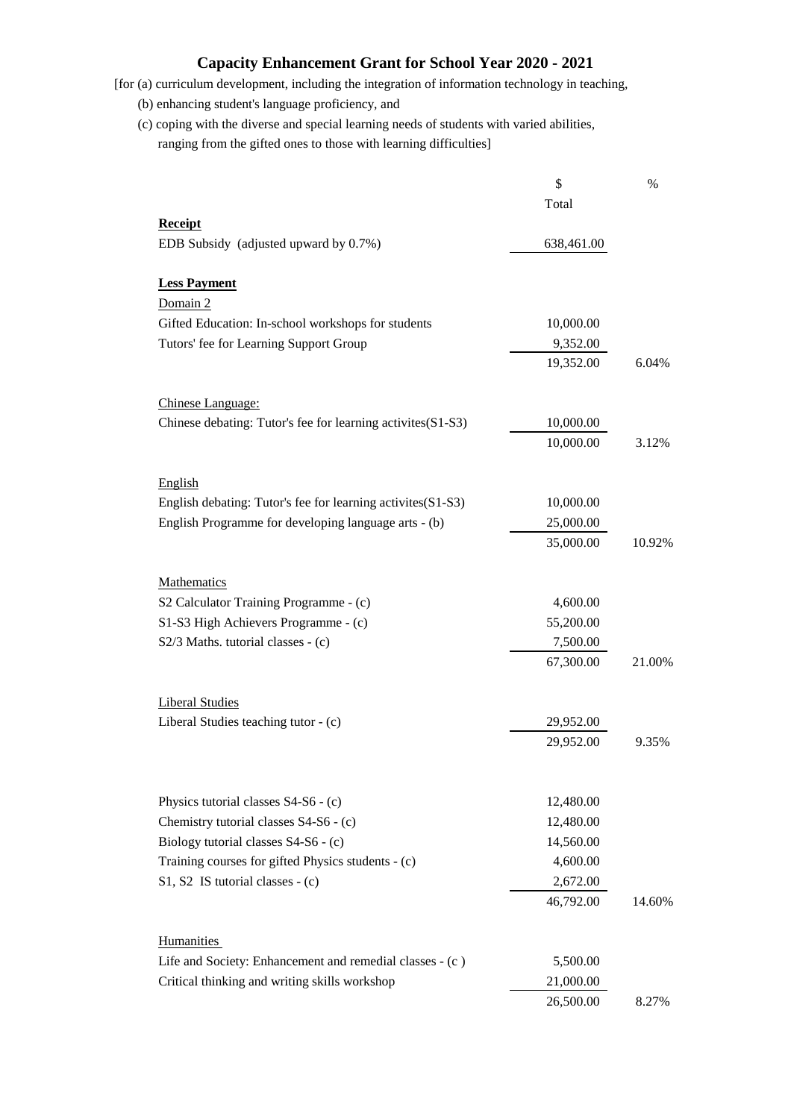## **Capacity Enhancement Grant for School Year 2020 - 2021**

[for (a) curriculum development, including the integration of information technology in teaching,

(b) enhancing student's language proficiency, and

 (c) coping with the diverse and special learning needs of students with varied abilities, ranging from the gifted ones to those with learning difficulties]

|                                                             | \$         | %      |
|-------------------------------------------------------------|------------|--------|
|                                                             | Total      |        |
| <b>Receipt</b>                                              |            |        |
| EDB Subsidy (adjusted upward by 0.7%)                       | 638,461.00 |        |
| <b>Less Payment</b>                                         |            |        |
| Domain 2                                                    |            |        |
| Gifted Education: In-school workshops for students          | 10,000.00  |        |
| Tutors' fee for Learning Support Group                      | 9,352.00   |        |
|                                                             | 19,352.00  | 6.04%  |
| Chinese Language:                                           |            |        |
| Chinese debating: Tutor's fee for learning activites(S1-S3) | 10,000.00  |        |
|                                                             | 10,000.00  | 3.12%  |
| English                                                     |            |        |
| English debating: Tutor's fee for learning activites(S1-S3) | 10,000.00  |        |
| English Programme for developing language arts - (b)        | 25,000.00  |        |
|                                                             | 35,000.00  | 10.92% |
| Mathematics                                                 |            |        |
| S2 Calculator Training Programme - (c)                      | 4,600.00   |        |
| S1-S3 High Achievers Programme - (c)                        | 55,200.00  |        |
| S2/3 Maths. tutorial classes - (c)                          | 7,500.00   |        |
|                                                             | 67,300.00  | 21.00% |
| <b>Liberal Studies</b>                                      |            |        |
| Liberal Studies teaching tutor - (c)                        | 29,952.00  |        |
|                                                             | 29,952.00  | 9.35%  |
|                                                             |            |        |
| Physics tutorial classes S4-S6 - (c)                        | 12,480.00  |        |
| Chemistry tutorial classes S4-S6 - (c)                      | 12,480.00  |        |
| Biology tutorial classes S4-S6 - (c)                        | 14,560.00  |        |
| Training courses for gifted Physics students - (c)          | 4,600.00   |        |
| $S1, S2$ IS tutorial classes - (c)                          | 2,672.00   |        |
|                                                             | 46,792.00  | 14.60% |
| <b>Humanities</b>                                           |            |        |
| Life and Society: Enhancement and remedial classes - (c)    | 5,500.00   |        |
| Critical thinking and writing skills workshop               | 21,000.00  |        |
|                                                             | 26,500.00  | 8.27%  |